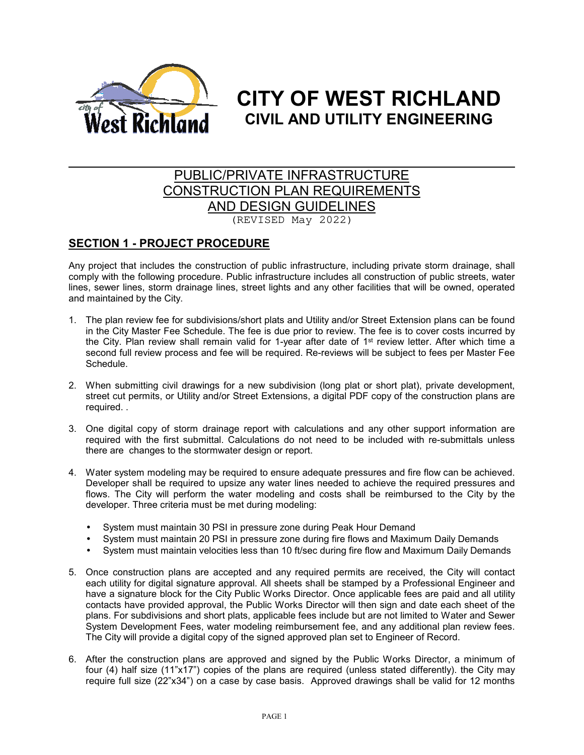

# **CITY OF WEST RICHLAND CIVIL AND UTILITY ENGINEERING**

# PUBLIC/PRIVATE INFRASTRUCTURE CONSTRUCTION PLAN REQUIREMENTS AND DESIGN GUIDELINES (REVISED May 2022)

# **SECTION 1 - PROJECT PROCEDURE**

Any project that includes the construction of public infrastructure, including private storm drainage, shall comply with the following procedure. Public infrastructure includes all construction of public streets, water lines, sewer lines, storm drainage lines, street lights and any other facilities that will be owned, operated and maintained by the City.

- 1. The plan review fee for subdivisions/short plats and Utility and/or Street Extension plans can be found in the City Master Fee Schedule. The fee is due prior to review. The fee is to cover costs incurred by the City. Plan review shall remain valid for 1-year after date of 1<sup>st</sup> review letter. After which time a second full review process and fee will be required. Re-reviews will be subject to fees per Master Fee Schedule.
- 2. When submitting civil drawings for a new subdivision (long plat or short plat), private development, street cut permits, or Utility and/or Street Extensions, a digital PDF copy of the construction plans are required. .
- 3. One digital copy of storm drainage report with calculations and any other support information are required with the first submittal. Calculations do not need to be included with re-submittals unless there are changes to the stormwater design or report.
- 4. Water system modeling may be required to ensure adequate pressures and fire flow can be achieved. Developer shall be required to upsize any water lines needed to achieve the required pressures and flows. The City will perform the water modeling and costs shall be reimbursed to the City by the developer. Three criteria must be met during modeling:
	- System must maintain 30 PSI in pressure zone during Peak Hour Demand
	- System must maintain 20 PSI in pressure zone during fire flows and Maximum Daily Demands
	- System must maintain velocities less than 10 ft/sec during fire flow and Maximum Daily Demands
- 5. Once construction plans are accepted and any required permits are received, the City will contact each utility for digital signature approval. All sheets shall be stamped by a Professional Engineer and have a signature block for the City Public Works Director. Once applicable fees are paid and all utility contacts have provided approval, the Public Works Director will then sign and date each sheet of the plans. For subdivisions and short plats, applicable fees include but are not limited to Water and Sewer System Development Fees, water modeling reimbursement fee, and any additional plan review fees. The City will provide a digital copy of the signed approved plan set to Engineer of Record.
- 6. After the construction plans are approved and signed by the Public Works Director, a minimum of four (4) half size (11"x17") copies of the plans are required (unless stated differently). the City may require full size (22"x34") on a case by case basis. Approved drawings shall be valid for 12 months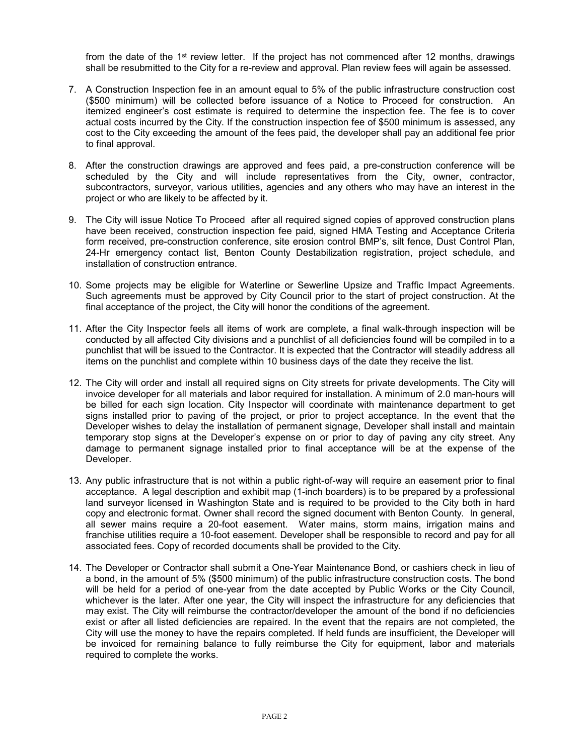from the date of the 1<sup>st</sup> review letter. If the project has not commenced after 12 months, drawings shall be resubmitted to the City for a re-review and approval. Plan review fees will again be assessed.

- 7. A Construction Inspection fee in an amount equal to 5% of the public infrastructure construction cost (\$500 minimum) will be collected before issuance of a Notice to Proceed for construction. An itemized engineer's cost estimate is required to determine the inspection fee. The fee is to cover actual costs incurred by the City. If the construction inspection fee of \$500 minimum is assessed, any cost to the City exceeding the amount of the fees paid, the developer shall pay an additional fee prior to final approval.
- 8. After the construction drawings are approved and fees paid, a pre-construction conference will be scheduled by the City and will include representatives from the City, owner, contractor, subcontractors, surveyor, various utilities, agencies and any others who may have an interest in the project or who are likely to be affected by it.
- 9. The City will issue Notice To Proceed after all required signed copies of approved construction plans have been received, construction inspection fee paid, signed HMA Testing and Acceptance Criteria form received, pre-construction conference, site erosion control BMP's, silt fence, Dust Control Plan, 24-Hr emergency contact list, Benton County Destabilization registration, project schedule, and installation of construction entrance.
- 10. Some projects may be eligible for Waterline or Sewerline Upsize and Traffic Impact Agreements. Such agreements must be approved by City Council prior to the start of project construction. At the final acceptance of the project, the City will honor the conditions of the agreement.
- 11. After the City Inspector feels all items of work are complete, a final walk-through inspection will be conducted by all affected City divisions and a punchlist of all deficiencies found will be compiled in to a punchlist that will be issued to the Contractor. It is expected that the Contractor will steadily address all items on the punchlist and complete within 10 business days of the date they receive the list.
- 12. The City will order and install all required signs on City streets for private developments. The City will invoice developer for all materials and labor required for installation. A minimum of 2.0 man-hours will be billed for each sign location. City Inspector will coordinate with maintenance department to get signs installed prior to paving of the project, or prior to project acceptance. In the event that the Developer wishes to delay the installation of permanent signage, Developer shall install and maintain temporary stop signs at the Developer's expense on or prior to day of paving any city street. Any damage to permanent signage installed prior to final acceptance will be at the expense of the Developer.
- 13. Any public infrastructure that is not within a public right-of-way will require an easement prior to final acceptance. A legal description and exhibit map (1-inch boarders) is to be prepared by a professional land surveyor licensed in Washington State and is required to be provided to the City both in hard copy and electronic format. Owner shall record the signed document with Benton County. In general, all sewer mains require a 20-foot easement. Water mains, storm mains, irrigation mains and franchise utilities require a 10-foot easement. Developer shall be responsible to record and pay for all associated fees. Copy of recorded documents shall be provided to the City.
- 14. The Developer or Contractor shall submit a One-Year Maintenance Bond, or cashiers check in lieu of a bond, in the amount of 5% (\$500 minimum) of the public infrastructure construction costs. The bond will be held for a period of one-year from the date accepted by Public Works or the City Council, whichever is the later. After one year, the City will inspect the infrastructure for any deficiencies that may exist. The City will reimburse the contractor/developer the amount of the bond if no deficiencies exist or after all listed deficiencies are repaired. In the event that the repairs are not completed, the City will use the money to have the repairs completed. If held funds are insufficient, the Developer will be invoiced for remaining balance to fully reimburse the City for equipment, labor and materials required to complete the works.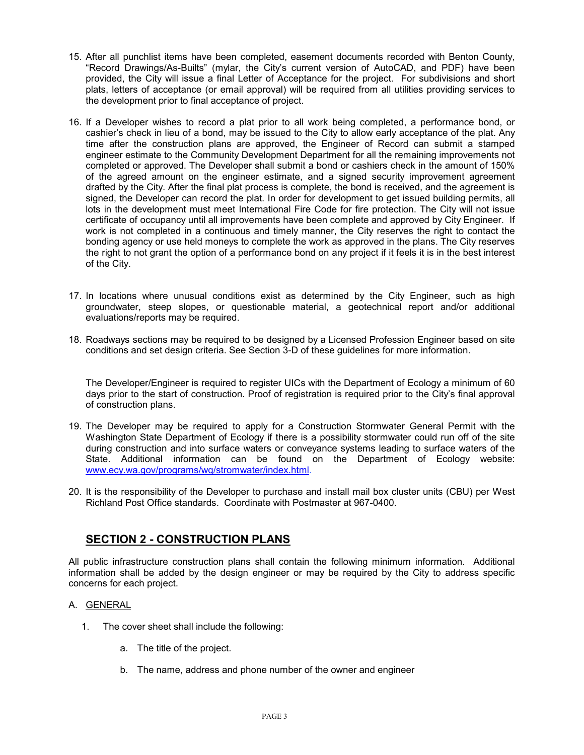- 15. After all punchlist items have been completed, easement documents recorded with Benton County, "Record Drawings/As-Builts" (mylar, the City's current version of AutoCAD, and PDF) have been provided, the City will issue a final Letter of Acceptance for the project. For subdivisions and short plats, letters of acceptance (or email approval) will be required from all utilities providing services to the development prior to final acceptance of project.
- 16. If a Developer wishes to record a plat prior to all work being completed, a performance bond, or cashier's check in lieu of a bond, may be issued to the City to allow early acceptance of the plat. Any time after the construction plans are approved, the Engineer of Record can submit a stamped engineer estimate to the Community Development Department for all the remaining improvements not completed or approved. The Developer shall submit a bond or cashiers check in the amount of 150% of the agreed amount on the engineer estimate, and a signed security improvement agreement drafted by the City. After the final plat process is complete, the bond is received, and the agreement is signed, the Developer can record the plat. In order for development to get issued building permits, all lots in the development must meet International Fire Code for fire protection. The City will not issue certificate of occupancy until all improvements have been complete and approved by City Engineer. If work is not completed in a continuous and timely manner, the City reserves the right to contact the bonding agency or use held moneys to complete the work as approved in the plans. The City reserves the right to not grant the option of a performance bond on any project if it feels it is in the best interest of the City.
- 17. In locations where unusual conditions exist as determined by the City Engineer, such as high groundwater, steep slopes, or questionable material, a geotechnical report and/or additional evaluations/reports may be required.
- 18. Roadways sections may be required to be designed by a Licensed Profession Engineer based on site conditions and set design criteria. See Section 3-D of these guidelines for more information.

The Developer/Engineer is required to register UICs with the Department of Ecology a minimum of 60 days prior to the start of construction. Proof of registration is required prior to the City's final approval of construction plans.

- 19. The Developer may be required to apply for a Construction Stormwater General Permit with the Washington State Department of Ecology if there is a possibility stormwater could run off of the site during construction and into surface waters or conveyance systems leading to surface waters of the State. Additional information can be found on the Department of Ecology website: www.ecy.wa.gov/programs/wq/stromwater/index.html.
- 20. It is the responsibility of the Developer to purchase and install mail box cluster units (CBU) per West Richland Post Office standards. Coordinate with Postmaster at 967-0400.

# **SECTION 2 - CONSTRUCTION PLANS**

All public infrastructure construction plans shall contain the following minimum information. Additional information shall be added by the design engineer or may be required by the City to address specific concerns for each project.

#### A. GENERAL

- 1. The cover sheet shall include the following:
	- a. The title of the project.
	- b. The name, address and phone number of the owner and engineer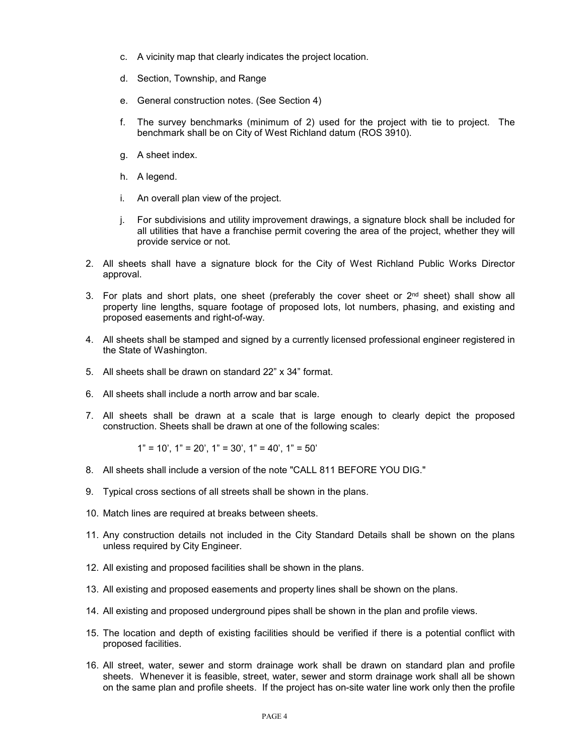- c. A vicinity map that clearly indicates the project location.
- d. Section, Township, and Range
- e. General construction notes. (See Section 4)
- f. The survey benchmarks (minimum of 2) used for the project with tie to project. The benchmark shall be on City of West Richland datum (ROS 3910).
- g. A sheet index.
- h. A legend.
- i. An overall plan view of the project.
- j. For subdivisions and utility improvement drawings, a signature block shall be included for all utilities that have a franchise permit covering the area of the project, whether they will provide service or not.
- 2. All sheets shall have a signature block for the City of West Richland Public Works Director approval.
- 3. For plats and short plats, one sheet (preferably the cover sheet or  $2<sup>nd</sup>$  sheet) shall show all property line lengths, square footage of proposed lots, lot numbers, phasing, and existing and proposed easements and right-of-way.
- 4. All sheets shall be stamped and signed by a currently licensed professional engineer registered in the State of Washington.
- 5. All sheets shall be drawn on standard 22" x 34" format.
- 6. All sheets shall include a north arrow and bar scale.
- 7. All sheets shall be drawn at a scale that is large enough to clearly depict the proposed construction. Sheets shall be drawn at one of the following scales:

$$
1" = 10'
$$
,  $1" = 20'$ ,  $1" = 30'$ ,  $1" = 40'$ ,  $1" = 50'$ 

- 8. All sheets shall include a version of the note "CALL 811 BEFORE YOU DIG."
- 9. Typical cross sections of all streets shall be shown in the plans.
- 10. Match lines are required at breaks between sheets.
- 11. Any construction details not included in the City Standard Details shall be shown on the plans unless required by City Engineer.
- 12. All existing and proposed facilities shall be shown in the plans.
- 13. All existing and proposed easements and property lines shall be shown on the plans.
- 14. All existing and proposed underground pipes shall be shown in the plan and profile views.
- 15. The location and depth of existing facilities should be verified if there is a potential conflict with proposed facilities.
- 16. All street, water, sewer and storm drainage work shall be drawn on standard plan and profile sheets. Whenever it is feasible, street, water, sewer and storm drainage work shall all be shown on the same plan and profile sheets. If the project has on-site water line work only then the profile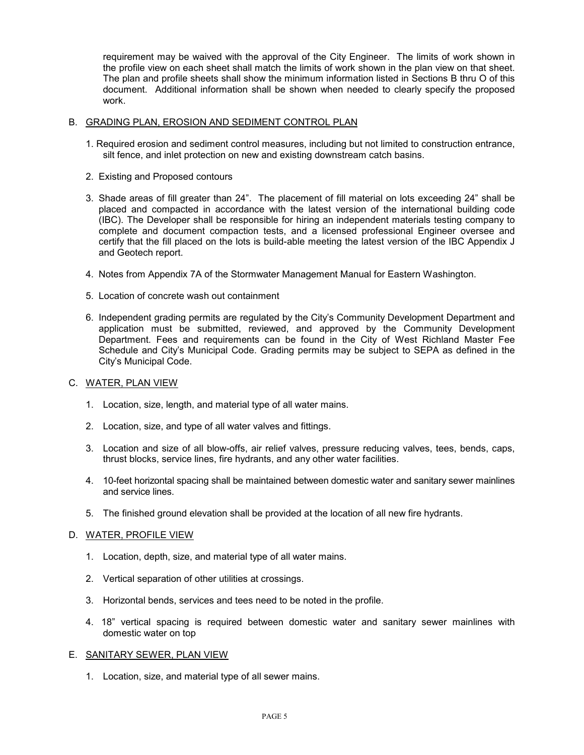requirement may be waived with the approval of the City Engineer. The limits of work shown in the profile view on each sheet shall match the limits of work shown in the plan view on that sheet. The plan and profile sheets shall show the minimum information listed in Sections B thru O of this document. Additional information shall be shown when needed to clearly specify the proposed work.

#### B. GRADING PLAN, EROSION AND SEDIMENT CONTROL PLAN

- 1. Required erosion and sediment control measures, including but not limited to construction entrance, silt fence, and inlet protection on new and existing downstream catch basins.
- 2. Existing and Proposed contours
- 3. Shade areas of fill greater than 24". The placement of fill material on lots exceeding 24" shall be placed and compacted in accordance with the latest version of the international building code (IBC). The Developer shall be responsible for hiring an independent materials testing company to complete and document compaction tests, and a licensed professional Engineer oversee and certify that the fill placed on the lots is build-able meeting the latest version of the IBC Appendix J and Geotech report.
- 4. Notes from Appendix 7A of the Stormwater Management Manual for Eastern Washington.
- 5. Location of concrete wash out containment
- 6. Independent grading permits are regulated by the City's Community Development Department and application must be submitted, reviewed, and approved by the Community Development Department. Fees and requirements can be found in the City of West Richland Master Fee Schedule and City's Municipal Code. Grading permits may be subject to SEPA as defined in the City's Municipal Code.

#### C. WATER, PLAN VIEW

- 1. Location, size, length, and material type of all water mains.
- 2. Location, size, and type of all water valves and fittings.
- 3. Location and size of all blow-offs, air relief valves, pressure reducing valves, tees, bends, caps, thrust blocks, service lines, fire hydrants, and any other water facilities.
- 4. 10-feet horizontal spacing shall be maintained between domestic water and sanitary sewer mainlines and service lines.
- 5. The finished ground elevation shall be provided at the location of all new fire hydrants.

#### D. WATER, PROFILE VIEW

- 1. Location, depth, size, and material type of all water mains.
- 2. Vertical separation of other utilities at crossings.
- 3. Horizontal bends, services and tees need to be noted in the profile.
- 4. 18" vertical spacing is required between domestic water and sanitary sewer mainlines with domestic water on top

#### E. SANITARY SEWER, PLAN VIEW

1. Location, size, and material type of all sewer mains.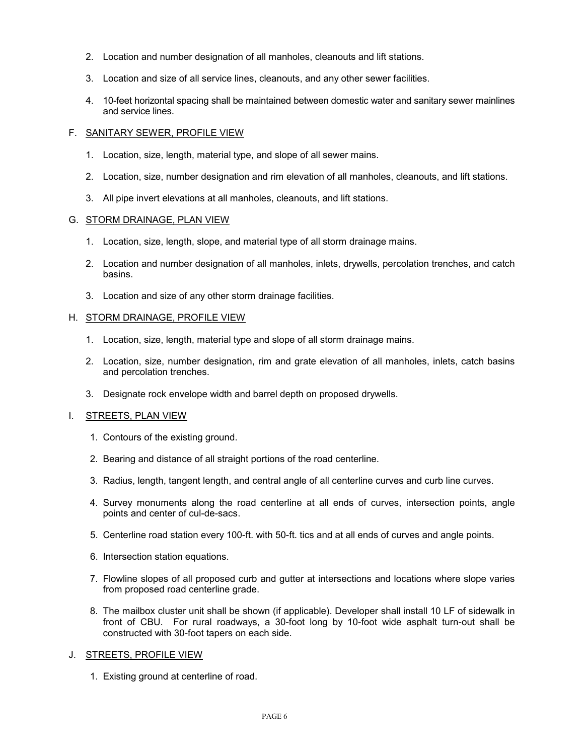- 2. Location and number designation of all manholes, cleanouts and lift stations.
- 3. Location and size of all service lines, cleanouts, and any other sewer facilities.
- 4. 10-feet horizontal spacing shall be maintained between domestic water and sanitary sewer mainlines and service lines.

#### F. SANITARY SEWER, PROFILE VIEW

- 1. Location, size, length, material type, and slope of all sewer mains.
- 2. Location, size, number designation and rim elevation of all manholes, cleanouts, and lift stations.
- 3. All pipe invert elevations at all manholes, cleanouts, and lift stations.

#### G. STORM DRAINAGE, PLAN VIEW

- 1. Location, size, length, slope, and material type of all storm drainage mains.
- 2. Location and number designation of all manholes, inlets, drywells, percolation trenches, and catch basins.
- 3. Location and size of any other storm drainage facilities.

#### H. STORM DRAINAGE, PROFILE VIEW

- 1. Location, size, length, material type and slope of all storm drainage mains.
- 2. Location, size, number designation, rim and grate elevation of all manholes, inlets, catch basins and percolation trenches.
- 3. Designate rock envelope width and barrel depth on proposed drywells.

#### I. STREETS, PLAN VIEW

- 1. Contours of the existing ground.
- 2. Bearing and distance of all straight portions of the road centerline.
- 3. Radius, length, tangent length, and central angle of all centerline curves and curb line curves.
- 4. Survey monuments along the road centerline at all ends of curves, intersection points, angle points and center of cul-de-sacs.
- 5. Centerline road station every 100-ft. with 50-ft. tics and at all ends of curves and angle points.
- 6. Intersection station equations.
- 7. Flowline slopes of all proposed curb and gutter at intersections and locations where slope varies from proposed road centerline grade.
- 8. The mailbox cluster unit shall be shown (if applicable). Developer shall install 10 LF of sidewalk in front of CBU. For rural roadways, a 30-foot long by 10-foot wide asphalt turn-out shall be constructed with 30-foot tapers on each side.
- J. STREETS, PROFILE VIEW
	- 1. Existing ground at centerline of road.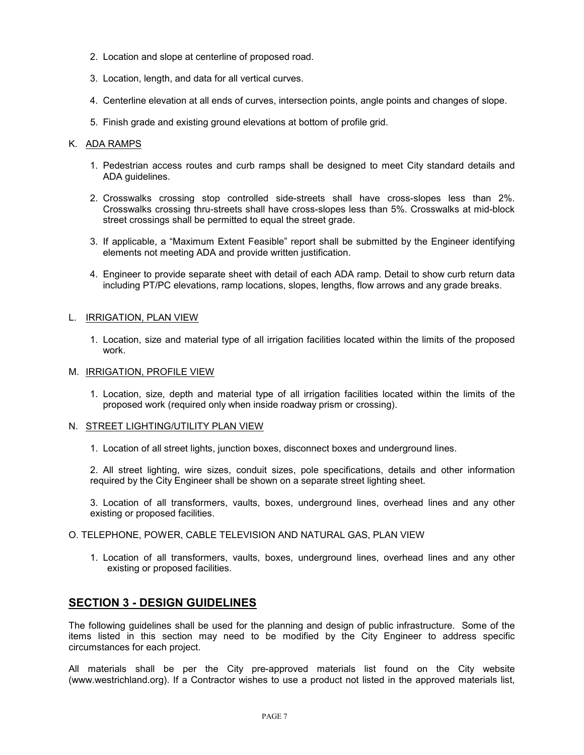- 2. Location and slope at centerline of proposed road.
- 3. Location, length, and data for all vertical curves.
- 4. Centerline elevation at all ends of curves, intersection points, angle points and changes of slope.
- 5. Finish grade and existing ground elevations at bottom of profile grid.

#### K. ADA RAMPS

- 1. Pedestrian access routes and curb ramps shall be designed to meet City standard details and ADA guidelines.
- 2. Crosswalks crossing stop controlled side-streets shall have cross-slopes less than 2%. Crosswalks crossing thru-streets shall have cross-slopes less than 5%. Crosswalks at mid-block street crossings shall be permitted to equal the street grade.
- 3. If applicable, a "Maximum Extent Feasible" report shall be submitted by the Engineer identifying elements not meeting ADA and provide written justification.
- 4. Engineer to provide separate sheet with detail of each ADA ramp. Detail to show curb return data including PT/PC elevations, ramp locations, slopes, lengths, flow arrows and any grade breaks.

#### L. IRRIGATION, PLAN VIEW

1. Location, size and material type of all irrigation facilities located within the limits of the proposed work.

#### M. IRRIGATION, PROFILE VIEW

1. Location, size, depth and material type of all irrigation facilities located within the limits of the proposed work (required only when inside roadway prism or crossing).

#### N. STREET LIGHTING/UTILITY PLAN VIEW

1. Location of all street lights, junction boxes, disconnect boxes and underground lines.

2. All street lighting, wire sizes, conduit sizes, pole specifications, details and other information required by the City Engineer shall be shown on a separate street lighting sheet.

3. Location of all transformers, vaults, boxes, underground lines, overhead lines and any other existing or proposed facilities.

#### O. TELEPHONE, POWER, CABLE TELEVISION AND NATURAL GAS, PLAN VIEW

1. Location of all transformers, vaults, boxes, underground lines, overhead lines and any other existing or proposed facilities.

# **SECTION 3 - DESIGN GUIDELINES**

The following guidelines shall be used for the planning and design of public infrastructure. Some of the items listed in this section may need to be modified by the City Engineer to address specific circumstances for each project.

All materials shall be per the City pre-approved materials list found on the City website (www.westrichland.org). If a Contractor wishes to use a product not listed in the approved materials list,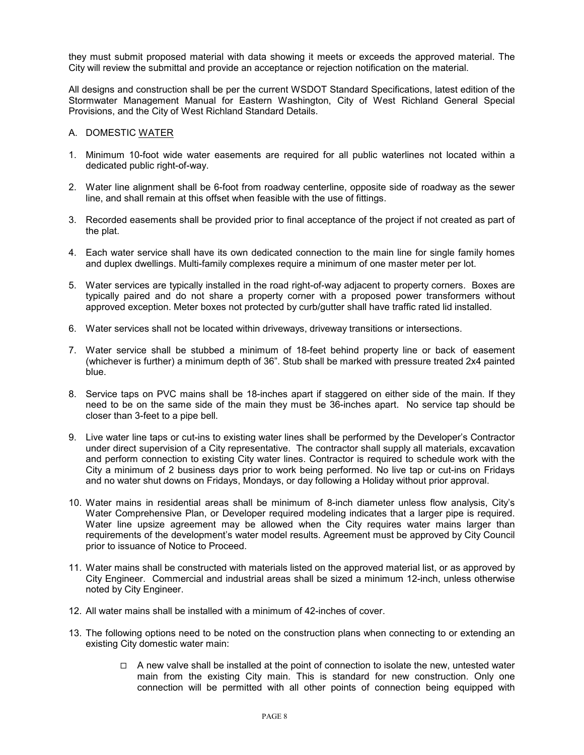they must submit proposed material with data showing it meets or exceeds the approved material. The City will review the submittal and provide an acceptance or rejection notification on the material.

All designs and construction shall be per the current WSDOT Standard Specifications, latest edition of the Stormwater Management Manual for Eastern Washington, City of West Richland General Special Provisions, and the City of West Richland Standard Details.

#### A. DOMESTIC WATER

- 1. Minimum 10-foot wide water easements are required for all public waterlines not located within a dedicated public right-of-way.
- 2. Water line alignment shall be 6-foot from roadway centerline, opposite side of roadway as the sewer line, and shall remain at this offset when feasible with the use of fittings.
- 3. Recorded easements shall be provided prior to final acceptance of the project if not created as part of the plat.
- 4. Each water service shall have its own dedicated connection to the main line for single family homes and duplex dwellings. Multi-family complexes require a minimum of one master meter per lot.
- 5. Water services are typically installed in the road right-of-way adjacent to property corners. Boxes are typically paired and do not share a property corner with a proposed power transformers without approved exception. Meter boxes not protected by curb/gutter shall have traffic rated lid installed.
- 6. Water services shall not be located within driveways, driveway transitions or intersections.
- 7. Water service shall be stubbed a minimum of 18-feet behind property line or back of easement (whichever is further) a minimum depth of 36". Stub shall be marked with pressure treated 2x4 painted blue.
- 8. Service taps on PVC mains shall be 18-inches apart if staggered on either side of the main. If they need to be on the same side of the main they must be 36-inches apart. No service tap should be closer than 3-feet to a pipe bell.
- 9. Live water line taps or cut-ins to existing water lines shall be performed by the Developer's Contractor under direct supervision of a City representative. The contractor shall supply all materials, excavation and perform connection to existing City water lines. Contractor is required to schedule work with the City a minimum of 2 business days prior to work being performed. No live tap or cut-ins on Fridays and no water shut downs on Fridays, Mondays, or day following a Holiday without prior approval.
- 10. Water mains in residential areas shall be minimum of 8-inch diameter unless flow analysis, City's Water Comprehensive Plan, or Developer required modeling indicates that a larger pipe is required. Water line upsize agreement may be allowed when the City requires water mains larger than requirements of the development's water model results. Agreement must be approved by City Council prior to issuance of Notice to Proceed.
- 11. Water mains shall be constructed with materials listed on the approved material list, or as approved by City Engineer. Commercial and industrial areas shall be sized a minimum 12-inch, unless otherwise noted by City Engineer.
- 12. All water mains shall be installed with a minimum of 42-inches of cover.
- 13. The following options need to be noted on the construction plans when connecting to or extending an existing City domestic water main:
	- $\Box$  A new valve shall be installed at the point of connection to isolate the new, untested water main from the existing City main. This is standard for new construction. Only one connection will be permitted with all other points of connection being equipped with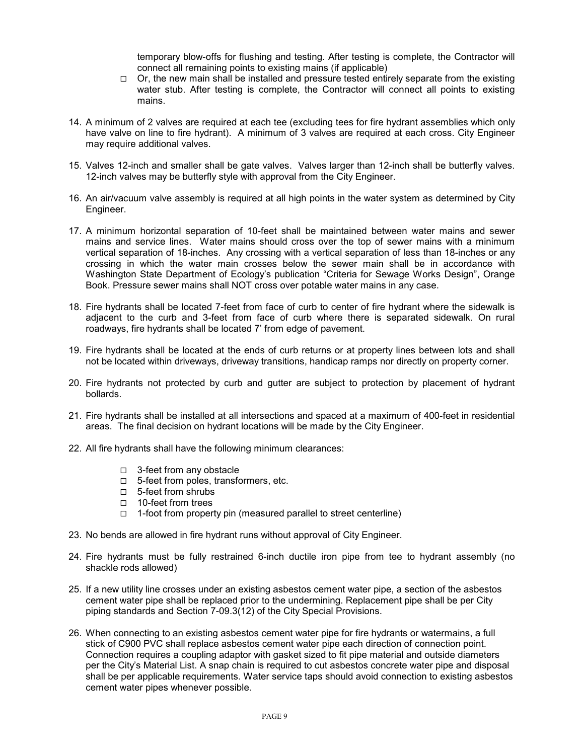temporary blow-offs for flushing and testing. After testing is complete, the Contractor will connect all remaining points to existing mains (if applicable)

- $\Box$  Or, the new main shall be installed and pressure tested entirely separate from the existing water stub. After testing is complete, the Contractor will connect all points to existing mains.
- 14. A minimum of 2 valves are required at each tee (excluding tees for fire hydrant assemblies which only have valve on line to fire hydrant). A minimum of 3 valves are required at each cross. City Engineer may require additional valves.
- 15. Valves 12-inch and smaller shall be gate valves. Valves larger than 12-inch shall be butterfly valves. 12-inch valves may be butterfly style with approval from the City Engineer.
- 16. An air/vacuum valve assembly is required at all high points in the water system as determined by City Engineer.
- 17. A minimum horizontal separation of 10-feet shall be maintained between water mains and sewer mains and service lines. Water mains should cross over the top of sewer mains with a minimum vertical separation of 18-inches. Any crossing with a vertical separation of less than 18-inches or any crossing in which the water main crosses below the sewer main shall be in accordance with Washington State Department of Ecology's publication "Criteria for Sewage Works Design", Orange Book. Pressure sewer mains shall NOT cross over potable water mains in any case.
- 18. Fire hydrants shall be located 7-feet from face of curb to center of fire hydrant where the sidewalk is adjacent to the curb and 3-feet from face of curb where there is separated sidewalk. On rural roadways, fire hydrants shall be located 7' from edge of pavement.
- 19. Fire hydrants shall be located at the ends of curb returns or at property lines between lots and shall not be located within driveways, driveway transitions, handicap ramps nor directly on property corner.
- 20. Fire hydrants not protected by curb and gutter are subject to protection by placement of hydrant bollards.
- 21. Fire hydrants shall be installed at all intersections and spaced at a maximum of 400-feet in residential areas. The final decision on hydrant locations will be made by the City Engineer.
- 22. All fire hydrants shall have the following minimum clearances:
	- □ 3-feet from any obstacle
	- □ 5-feet from poles, transformers, etc.
	- □ 5-feet from shrubs
	- □ 10-feet from trees
	- $\Box$  1-foot from property pin (measured parallel to street centerline)
- 23. No bends are allowed in fire hydrant runs without approval of City Engineer.
- 24. Fire hydrants must be fully restrained 6-inch ductile iron pipe from tee to hydrant assembly (no shackle rods allowed)
- 25. If a new utility line crosses under an existing asbestos cement water pipe, a section of the asbestos cement water pipe shall be replaced prior to the undermining. Replacement pipe shall be per City piping standards and Section 7-09.3(12) of the City Special Provisions.
- 26. When connecting to an existing asbestos cement water pipe for fire hydrants or watermains, a full stick of C900 PVC shall replace asbestos cement water pipe each direction of connection point. Connection requires a coupling adaptor with gasket sized to fit pipe material and outside diameters per the City's Material List. A snap chain is required to cut asbestos concrete water pipe and disposal shall be per applicable requirements. Water service taps should avoid connection to existing asbestos cement water pipes whenever possible.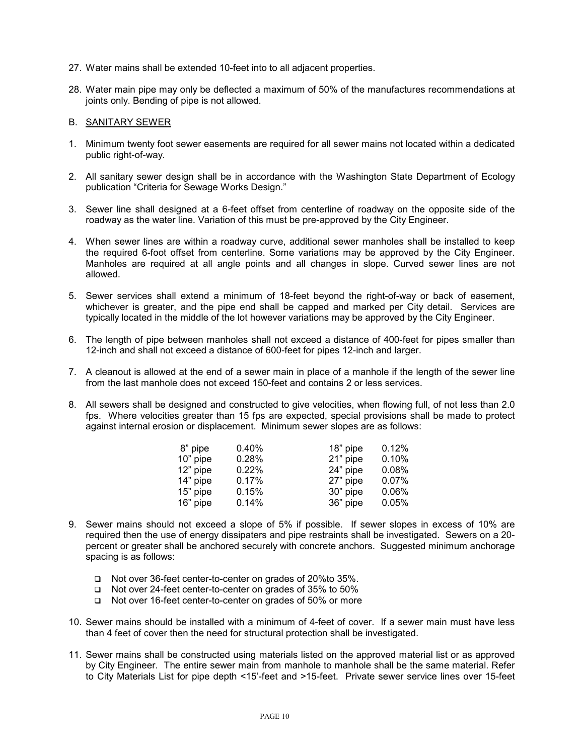- 27. Water mains shall be extended 10-feet into to all adjacent properties.
- 28. Water main pipe may only be deflected a maximum of 50% of the manufactures recommendations at joints only. Bending of pipe is not allowed.

#### B. SANITARY SEWER

- 1. Minimum twenty foot sewer easements are required for all sewer mains not located within a dedicated public right-of-way.
- 2. All sanitary sewer design shall be in accordance with the Washington State Department of Ecology publication "Criteria for Sewage Works Design."
- 3. Sewer line shall designed at a 6-feet offset from centerline of roadway on the opposite side of the roadway as the water line. Variation of this must be pre-approved by the City Engineer.
- 4. When sewer lines are within a roadway curve, additional sewer manholes shall be installed to keep the required 6-foot offset from centerline. Some variations may be approved by the City Engineer. Manholes are required at all angle points and all changes in slope. Curved sewer lines are not allowed.
- 5. Sewer services shall extend a minimum of 18-feet beyond the right-of-way or back of easement, whichever is greater, and the pipe end shall be capped and marked per City detail. Services are typically located in the middle of the lot however variations may be approved by the City Engineer.
- 6. The length of pipe between manholes shall not exceed a distance of 400-feet for pipes smaller than 12-inch and shall not exceed a distance of 600-feet for pipes 12-inch and larger.
- 7. A cleanout is allowed at the end of a sewer main in place of a manhole if the length of the sewer line from the last manhole does not exceed 150-feet and contains 2 or less services.
- 8. All sewers shall be designed and constructed to give velocities, when flowing full, of not less than 2.0 fps. Where velocities greater than 15 fps are expected, special provisions shall be made to protect against internal erosion or displacement. Minimum sewer slopes are as follows:

| 0.40% |          | 0.12%    |
|-------|----------|----------|
| 0.28% | 21" pipe | 0.10%    |
| 0.22% | 24" pipe | 0.08%    |
| 0.17% | 27" pipe | 0.07%    |
| 0.15% | 30" pipe | 0.06%    |
| 0.14% | 36" pipe | 0.05%    |
|       |          | 18" pipe |

- 9. Sewer mains should not exceed a slope of 5% if possible. If sewer slopes in excess of 10% are required then the use of energy dissipaters and pipe restraints shall be investigated. Sewers on a 20 percent or greater shall be anchored securely with concrete anchors. Suggested minimum anchorage spacing is as follows:
	- Not over 36-feet center-to-center on grades of 20%to 35%.
	- Not over 24-feet center-to-center on grades of 35% to 50%
	- □ Not over 16-feet center-to-center on grades of 50% or more
- 10. Sewer mains should be installed with a minimum of 4-feet of cover. If a sewer main must have less than 4 feet of cover then the need for structural protection shall be investigated.
- 11. Sewer mains shall be constructed using materials listed on the approved material list or as approved by City Engineer. The entire sewer main from manhole to manhole shall be the same material. Refer to City Materials List for pipe depth <15'-feet and >15-feet. Private sewer service lines over 15-feet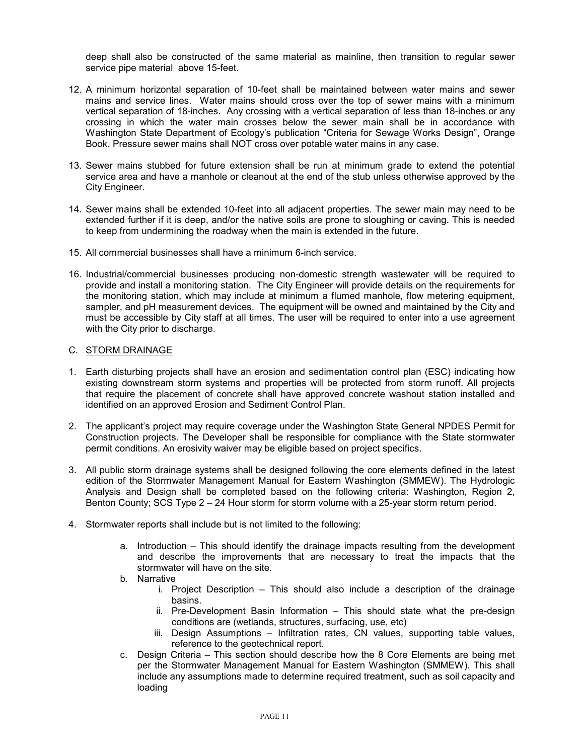deep shall also be constructed of the same material as mainline, then transition to regular sewer service pipe material above 15-feet.

- 12. A minimum horizontal separation of 10-feet shall be maintained between water mains and sewer mains and service lines. Water mains should cross over the top of sewer mains with a minimum vertical separation of 18-inches. Any crossing with a vertical separation of less than 18-inches or any crossing in which the water main crosses below the sewer main shall be in accordance with Washington State Department of Ecology's publication "Criteria for Sewage Works Design", Orange Book. Pressure sewer mains shall NOT cross over potable water mains in any case.
- 13. Sewer mains stubbed for future extension shall be run at minimum grade to extend the potential service area and have a manhole or cleanout at the end of the stub unless otherwise approved by the City Engineer.
- 14. Sewer mains shall be extended 10-feet into all adjacent properties. The sewer main may need to be extended further if it is deep, and/or the native soils are prone to sloughing or caving. This is needed to keep from undermining the roadway when the main is extended in the future.
- 15. All commercial businesses shall have a minimum 6-inch service.
- 16. Industrial/commercial businesses producing non-domestic strength wastewater will be required to provide and install a monitoring station. The City Engineer will provide details on the requirements for the monitoring station, which may include at minimum a flumed manhole, flow metering equipment, sampler, and pH measurement devices. The equipment will be owned and maintained by the City and must be accessible by City staff at all times. The user will be required to enter into a use agreement with the City prior to discharge.

#### C. STORM DRAINAGE

- 1. Earth disturbing projects shall have an erosion and sedimentation control plan (ESC) indicating how existing downstream storm systems and properties will be protected from storm runoff. All projects that require the placement of concrete shall have approved concrete washout station installed and identified on an approved Erosion and Sediment Control Plan.
- 2. The applicant's project may require coverage under the Washington State General NPDES Permit for Construction projects. The Developer shall be responsible for compliance with the State stormwater permit conditions. An erosivity waiver may be eligible based on project specifics.
- 3. All public storm drainage systems shall be designed following the core elements defined in the latest edition of the Stormwater Management Manual for Eastern Washington (SMMEW). The Hydrologic Analysis and Design shall be completed based on the following criteria: Washington, Region 2, Benton County; SCS Type 2 – 24 Hour storm for storm volume with a 25-year storm return period.
- 4. Stormwater reports shall include but is not limited to the following:
	- a. Introduction This should identify the drainage impacts resulting from the development and describe the improvements that are necessary to treat the impacts that the stormwater will have on the site.
	- b. Narrative
		- i. Project Description This should also include a description of the drainage basins.
		- ii. Pre-Development Basin Information This should state what the pre-design conditions are (wetlands, structures, surfacing, use, etc)
		- iii. Design Assumptions Infiltration rates, CN values, supporting table values, reference to the geotechnical report.
	- c. Design Criteria This section should describe how the 8 Core Elements are being met per the Stormwater Management Manual for Eastern Washington (SMMEW). This shall include any assumptions made to determine required treatment, such as soil capacity and loading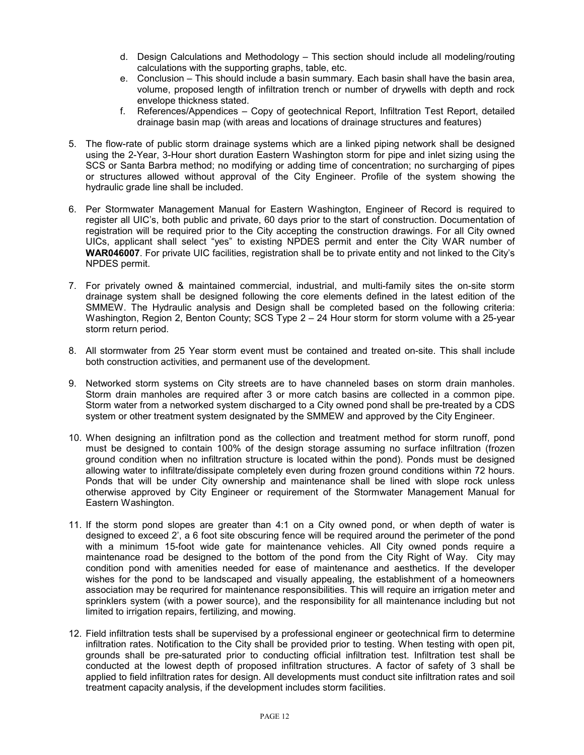- d. Design Calculations and Methodology This section should include all modeling/routing calculations with the supporting graphs, table, etc.
- e. Conclusion This should include a basin summary. Each basin shall have the basin area, volume, proposed length of infiltration trench or number of drywells with depth and rock envelope thickness stated.
- f. References/Appendices Copy of geotechnical Report, Infiltration Test Report, detailed drainage basin map (with areas and locations of drainage structures and features)
- 5. The flow-rate of public storm drainage systems which are a linked piping network shall be designed using the 2-Year, 3-Hour short duration Eastern Washington storm for pipe and inlet sizing using the SCS or Santa Barbra method; no modifying or adding time of concentration; no surcharging of pipes or structures allowed without approval of the City Engineer. Profile of the system showing the hydraulic grade line shall be included.
- 6. Per Stormwater Management Manual for Eastern Washington, Engineer of Record is required to register all UIC's, both public and private, 60 days prior to the start of construction. Documentation of registration will be required prior to the City accepting the construction drawings. For all City owned UICs, applicant shall select "yes" to existing NPDES permit and enter the City WAR number of **WAR046007**. For private UIC facilities, registration shall be to private entity and not linked to the City's NPDES permit.
- 7. For privately owned & maintained commercial, industrial, and multi-family sites the on-site storm drainage system shall be designed following the core elements defined in the latest edition of the SMMEW. The Hydraulic analysis and Design shall be completed based on the following criteria: Washington, Region 2, Benton County; SCS Type 2 – 24 Hour storm for storm volume with a 25-year storm return period.
- 8. All stormwater from 25 Year storm event must be contained and treated on-site. This shall include both construction activities, and permanent use of the development.
- 9. Networked storm systems on City streets are to have channeled bases on storm drain manholes. Storm drain manholes are required after 3 or more catch basins are collected in a common pipe. Storm water from a networked system discharged to a City owned pond shall be pre-treated by a CDS system or other treatment system designated by the SMMEW and approved by the City Engineer.
- 10. When designing an infiltration pond as the collection and treatment method for storm runoff, pond must be designed to contain 100% of the design storage assuming no surface infiltration (frozen ground condition when no infiltration structure is located within the pond). Ponds must be designed allowing water to infiltrate/dissipate completely even during frozen ground conditions within 72 hours. Ponds that will be under City ownership and maintenance shall be lined with slope rock unless otherwise approved by City Engineer or requirement of the Stormwater Management Manual for Eastern Washington.
- 11. If the storm pond slopes are greater than 4:1 on a City owned pond, or when depth of water is designed to exceed 2', a 6 foot site obscuring fence will be required around the perimeter of the pond with a minimum 15-foot wide gate for maintenance vehicles. All City owned ponds require a maintenance road be designed to the bottom of the pond from the City Right of Way. City may condition pond with amenities needed for ease of maintenance and aesthetics. If the developer wishes for the pond to be landscaped and visually appealing, the establishment of a homeowners association may be requrired for maintenance responsibilities. This will require an irrigation meter and sprinklers system (with a power source), and the responsibility for all maintenance including but not limited to irrigation repairs, fertilizing, and mowing.
- 12. Field infiltration tests shall be supervised by a professional engineer or geotechnical firm to determine infiltration rates. Notification to the City shall be provided prior to testing. When testing with open pit, grounds shall be pre-saturated prior to conducting official infiltration test. Infiltration test shall be conducted at the lowest depth of proposed infiltration structures. A factor of safety of 3 shall be applied to field infiltration rates for design. All developments must conduct site infiltration rates and soil treatment capacity analysis, if the development includes storm facilities.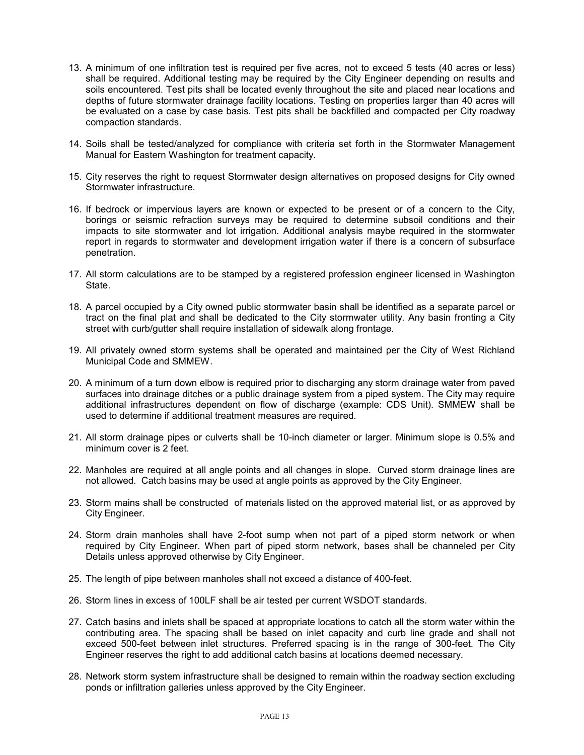- 13. A minimum of one infiltration test is required per five acres, not to exceed 5 tests (40 acres or less) shall be required. Additional testing may be required by the City Engineer depending on results and soils encountered. Test pits shall be located evenly throughout the site and placed near locations and depths of future stormwater drainage facility locations. Testing on properties larger than 40 acres will be evaluated on a case by case basis. Test pits shall be backfilled and compacted per City roadway compaction standards.
- 14. Soils shall be tested/analyzed for compliance with criteria set forth in the Stormwater Management Manual for Eastern Washington for treatment capacity.
- 15. City reserves the right to request Stormwater design alternatives on proposed designs for City owned Stormwater infrastructure.
- 16. If bedrock or impervious layers are known or expected to be present or of a concern to the City, borings or seismic refraction surveys may be required to determine subsoil conditions and their impacts to site stormwater and lot irrigation. Additional analysis maybe required in the stormwater report in regards to stormwater and development irrigation water if there is a concern of subsurface penetration.
- 17. All storm calculations are to be stamped by a registered profession engineer licensed in Washington State.
- 18. A parcel occupied by a City owned public stormwater basin shall be identified as a separate parcel or tract on the final plat and shall be dedicated to the City stormwater utility. Any basin fronting a City street with curb/gutter shall require installation of sidewalk along frontage.
- 19. All privately owned storm systems shall be operated and maintained per the City of West Richland Municipal Code and SMMEW.
- 20. A minimum of a turn down elbow is required prior to discharging any storm drainage water from paved surfaces into drainage ditches or a public drainage system from a piped system. The City may require additional infrastructures dependent on flow of discharge (example: CDS Unit). SMMEW shall be used to determine if additional treatment measures are required.
- 21. All storm drainage pipes or culverts shall be 10-inch diameter or larger. Minimum slope is 0.5% and minimum cover is 2 feet.
- 22. Manholes are required at all angle points and all changes in slope. Curved storm drainage lines are not allowed. Catch basins may be used at angle points as approved by the City Engineer.
- 23. Storm mains shall be constructed of materials listed on the approved material list, or as approved by City Engineer.
- 24. Storm drain manholes shall have 2-foot sump when not part of a piped storm network or when required by City Engineer. When part of piped storm network, bases shall be channeled per City Details unless approved otherwise by City Engineer.
- 25. The length of pipe between manholes shall not exceed a distance of 400-feet.
- 26. Storm lines in excess of 100LF shall be air tested per current WSDOT standards.
- 27. Catch basins and inlets shall be spaced at appropriate locations to catch all the storm water within the contributing area. The spacing shall be based on inlet capacity and curb line grade and shall not exceed 500-feet between inlet structures. Preferred spacing is in the range of 300-feet. The City Engineer reserves the right to add additional catch basins at locations deemed necessary.
- 28. Network storm system infrastructure shall be designed to remain within the roadway section excluding ponds or infiltration galleries unless approved by the City Engineer.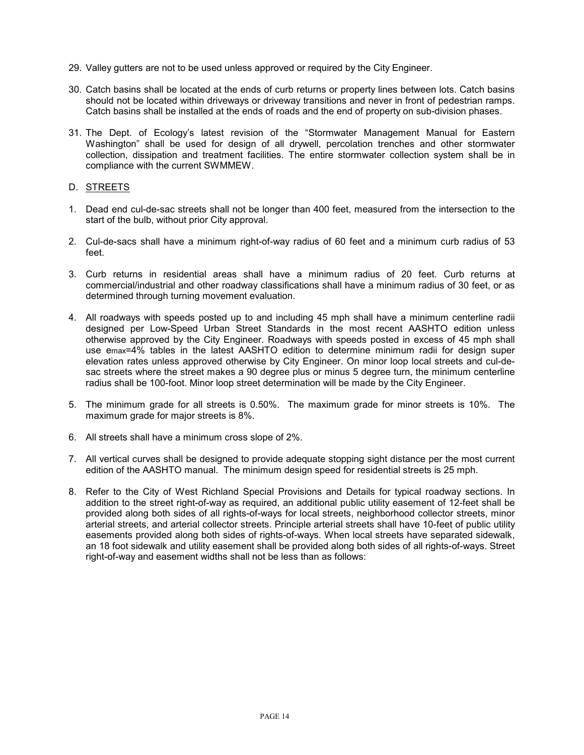- 29. Valley gutters are not to be used unless approved or required by the City Engineer.
- 30. Catch basins shall be located at the ends of curb returns or property lines between lots. Catch basins should not be located within driveways or driveway transitions and never in front of pedestrian ramps. Catch basins shall be installed at the ends of roads and the end of property on sub-division phases.
- 31. The Dept. of Ecology's latest revision of the "Stormwater Management Manual for Eastern Washington" shall be used for design of all drywell, percolation trenches and other stormwater collection, dissipation and treatment facilities. The entire stormwater collection system shall be in compliance with the current SWMMEW.

#### D. STREETS

- 1. Dead end cul-de-sac streets shall not be longer than 400 feet, measured from the intersection to the start of the bulb, without prior City approval.
- 2. Cul-de-sacs shall have a minimum right-of-way radius of 60 feet and a minimum curb radius of 53 feet.
- 3. Curb returns in residential areas shall have a minimum radius of 20 feet. Curb returns at commercial/industrial and other roadway classifications shall have a minimum radius of 30 feet, or as determined through turning movement evaluation.
- 4. All roadways with speeds posted up to and including 45 mph shall have a minimum centerline radii designed per Low-Speed Urban Street Standards in the most recent AASHTO edition unless otherwise approved by the City Engineer. Roadways with speeds posted in excess of 45 mph shall use emax=4% tables in the latest AASHTO edition to determine minimum radii for design super elevation rates unless approved otherwise by City Engineer. On minor loop local streets and cul-desac streets where the street makes a 90 degree plus or minus 5 degree turn, the minimum centerline radius shall be 100-foot. Minor loop street determination will be made by the City Engineer.
- 5. The minimum grade for all streets is 0.50%. The maximum grade for minor streets is 10%. The maximum grade for major streets is 8%.
- 6. All streets shall have a minimum cross slope of 2%.
- 7. All vertical curves shall be designed to provide adequate stopping sight distance per the most current edition of the AASHTO manual. The minimum design speed for residential streets is 25 mph.
- 8. Refer to the City of West Richland Special Provisions and Details for typical roadway sections. In addition to the street right-of-way as required, an additional public utility easement of 12-feet shall be provided along both sides of all rights-of-ways for local streets, neighborhood collector streets, minor arterial streets, and arterial collector streets. Principle arterial streets shall have 10-feet of public utility easements provided along both sides of rights-of-ways. When local streets have separated sidewalk, an 18 foot sidewalk and utility easement shall be provided along both sides of all rights-of-ways. Street right-of-way and easement widths shall not be less than as follows: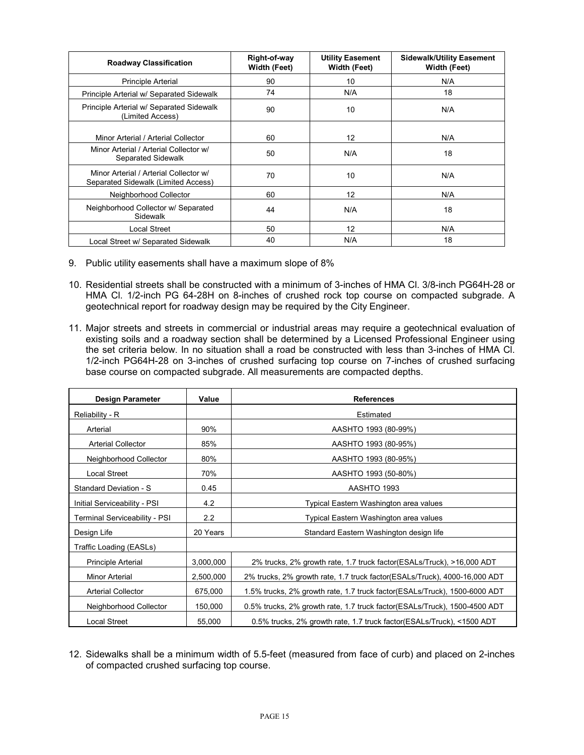| <b>Roadway Classification</b>                                                 | Right-of-way<br><b>Width (Feet)</b> | <b>Utility Easement</b><br>Width (Feet) | <b>Sidewalk/Utility Easement</b><br><b>Width (Feet)</b> |
|-------------------------------------------------------------------------------|-------------------------------------|-----------------------------------------|---------------------------------------------------------|
| <b>Principle Arterial</b>                                                     | 90                                  | 10                                      | N/A                                                     |
| Principle Arterial w/ Separated Sidewalk                                      | 74                                  | N/A                                     | 18                                                      |
| Principle Arterial w/ Separated Sidewalk<br>(Limited Access)                  | 90                                  | 10                                      | N/A                                                     |
| Minor Arterial / Arterial Collector                                           | 60                                  | $12 \overline{ }$                       | N/A                                                     |
| Minor Arterial / Arterial Collector w/<br><b>Separated Sidewalk</b>           | 50                                  | N/A                                     | 18                                                      |
| Minor Arterial / Arterial Collector w/<br>Separated Sidewalk (Limited Access) | 70                                  | 10                                      | N/A                                                     |
| Neighborhood Collector                                                        | 60                                  | 12                                      | N/A                                                     |
| Neighborhood Collector w/ Separated<br><b>Sidewalk</b>                        | 44                                  | N/A                                     | 18                                                      |
| Local Street                                                                  | 50                                  | 12                                      | N/A                                                     |
| Local Street w/ Separated Sidewalk                                            | 40                                  | N/A                                     | 18                                                      |

- 9. Public utility easements shall have a maximum slope of 8%
- 10. Residential streets shall be constructed with a minimum of 3-inches of HMA Cl. 3/8-inch PG64H-28 or HMA Cl. 1/2-inch PG 64-28H on 8-inches of crushed rock top course on compacted subgrade. A geotechnical report for roadway design may be required by the City Engineer.
- 11. Major streets and streets in commercial or industrial areas may require a geotechnical evaluation of existing soils and a roadway section shall be determined by a Licensed Professional Engineer using the set criteria below. In no situation shall a road be constructed with less than 3-inches of HMA Cl. 1/2-inch PG64H-28 on 3-inches of crushed surfacing top course on 7-inches of crushed surfacing base course on compacted subgrade. All measurements are compacted depths.

| <b>Design Parameter</b>       | Value     | <b>References</b>                                                         |
|-------------------------------|-----------|---------------------------------------------------------------------------|
| Reliability - R               |           | Estimated                                                                 |
| Arterial                      | 90%       | AASHTO 1993 (80-99%)                                                      |
| <b>Arterial Collector</b>     | 85%       | AASHTO 1993 (80-95%)                                                      |
| Neighborhood Collector        | 80%       | AASHTO 1993 (80-95%)                                                      |
| <b>Local Street</b>           | 70%       | AASHTO 1993 (50-80%)                                                      |
| Standard Deviation - S        | 0.45      | AASHTO 1993                                                               |
| Initial Serviceability - PSI  | 4.2       | Typical Eastern Washington area values                                    |
| Terminal Serviceability - PSI | 2.2       | Typical Eastern Washington area values                                    |
| Design Life                   | 20 Years  | Standard Eastern Washington design life                                   |
| Traffic Loading (EASLs)       |           |                                                                           |
| Principle Arterial            | 3,000,000 | 2% trucks, 2% growth rate, 1.7 truck factor(ESALs/Truck), >16,000 ADT     |
| Minor Arterial                | 2,500,000 | 2% trucks, 2% growth rate, 1.7 truck factor(ESALs/Truck), 4000-16,000 ADT |
| <b>Arterial Collector</b>     | 675,000   | 1.5% trucks, 2% growth rate, 1.7 truck factor(ESALs/Truck), 1500-6000 ADT |
| Neighborhood Collector        | 150,000   | 0.5% trucks, 2% growth rate, 1.7 truck factor(ESALs/Truck), 1500-4500 ADT |
| <b>Local Street</b>           | 55,000    | 0.5% trucks, 2% growth rate, 1.7 truck factor(ESALs/Truck), <1500 ADT     |

12. Sidewalks shall be a minimum width of 5.5-feet (measured from face of curb) and placed on 2-inches of compacted crushed surfacing top course.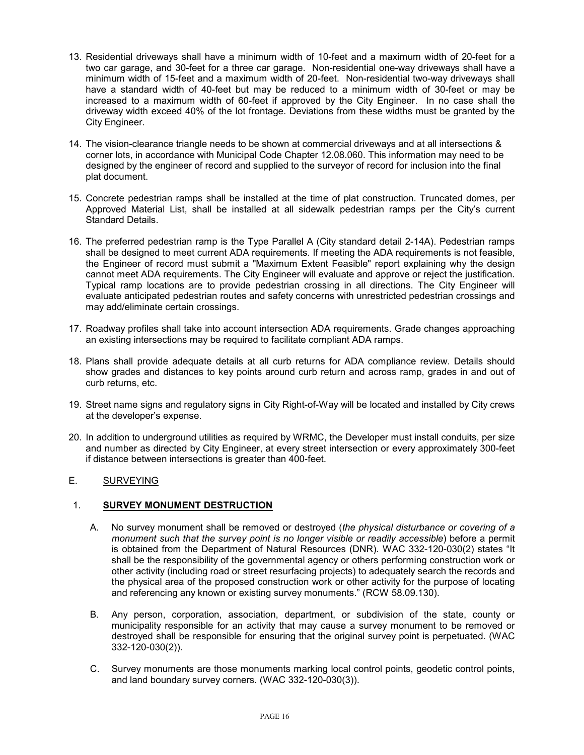- 13. Residential driveways shall have a minimum width of 10-feet and a maximum width of 20-feet for a two car garage, and 30-feet for a three car garage. Non-residential one-way driveways shall have a minimum width of 15-feet and a maximum width of 20-feet. Non-residential two-way driveways shall have a standard width of 40-feet but may be reduced to a minimum width of 30-feet or may be increased to a maximum width of 60-feet if approved by the City Engineer. In no case shall the driveway width exceed 40% of the lot frontage. Deviations from these widths must be granted by the City Engineer.
- 14. The vision-clearance triangle needs to be shown at commercial driveways and at all intersections & corner lots, in accordance with Municipal Code Chapter 12.08.060. This information may need to be designed by the engineer of record and supplied to the surveyor of record for inclusion into the final plat document.
- 15. Concrete pedestrian ramps shall be installed at the time of plat construction. Truncated domes, per Approved Material List, shall be installed at all sidewalk pedestrian ramps per the City's current Standard Details.
- 16. The preferred pedestrian ramp is the Type Parallel A (City standard detail 2-14A). Pedestrian ramps shall be designed to meet current ADA requirements. If meeting the ADA requirements is not feasible, the Engineer of record must submit a "Maximum Extent Feasible" report explaining why the design cannot meet ADA requirements. The City Engineer will evaluate and approve or reject the justification. Typical ramp locations are to provide pedestrian crossing in all directions. The City Engineer will evaluate anticipated pedestrian routes and safety concerns with unrestricted pedestrian crossings and may add/eliminate certain crossings.
- 17. Roadway profiles shall take into account intersection ADA requirements. Grade changes approaching an existing intersections may be required to facilitate compliant ADA ramps.
- 18. Plans shall provide adequate details at all curb returns for ADA compliance review. Details should show grades and distances to key points around curb return and across ramp, grades in and out of curb returns, etc.
- 19. Street name signs and regulatory signs in City Right-of-Way will be located and installed by City crews at the developer's expense.
- 20. In addition to underground utilities as required by WRMC, the Developer must install conduits, per size and number as directed by City Engineer, at every street intersection or every approximately 300-feet if distance between intersections is greater than 400-feet.

## E. SURVEYING

#### 1. **SURVEY MONUMENT DESTRUCTION**

- A. No survey monument shall be removed or destroyed (*the physical disturbance or covering of a monument such that the survey point is no longer visible or readily accessible*) before a permit is obtained from the Department of Natural Resources (DNR). WAC 332-120-030(2) states "It shall be the responsibility of the governmental agency or others performing construction work or other activity (including road or street resurfacing projects) to adequately search the records and the physical area of the proposed construction work or other activity for the purpose of locating and referencing any known or existing survey monuments." (RCW 58.09.130).
- B. Any person, corporation, association, department, or subdivision of the state, county or municipality responsible for an activity that may cause a survey monument to be removed or destroyed shall be responsible for ensuring that the original survey point is perpetuated. (WAC 332-120-030(2)).
- C. Survey monuments are those monuments marking local control points, geodetic control points, and land boundary survey corners. (WAC 332-120-030(3)).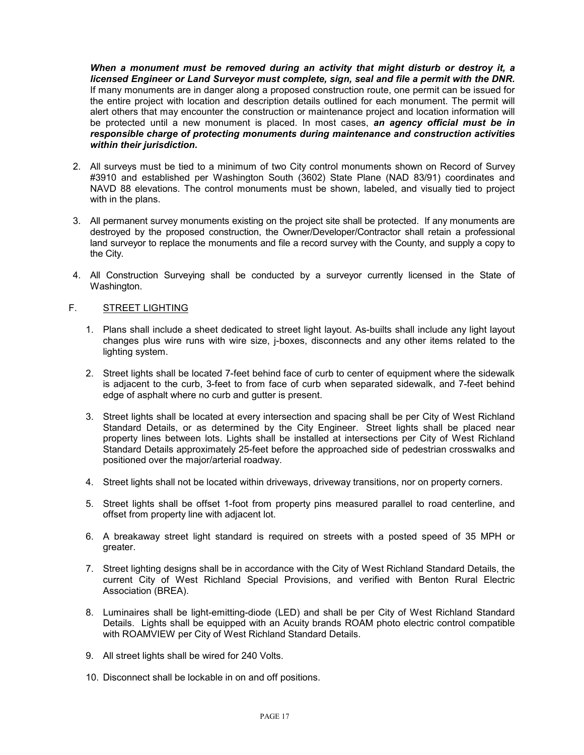*When a monument must be removed during an activity that might disturb or destroy it, a licensed Engineer or Land Surveyor must complete, sign, seal and file a permit with the DNR.* If many monuments are in danger along a proposed construction route, one permit can be issued for the entire project with location and description details outlined for each monument. The permit will alert others that may encounter the construction or maintenance project and location information will be protected until a new monument is placed. In most cases, *an agency official must be in responsible charge of protecting monuments during maintenance and construction activities within their jurisdiction.*

- 2. All surveys must be tied to a minimum of two City control monuments shown on Record of Survey #3910 and established per Washington South (3602) State Plane (NAD 83/91) coordinates and NAVD 88 elevations. The control monuments must be shown, labeled, and visually tied to project with in the plans.
- 3. All permanent survey monuments existing on the project site shall be protected. If any monuments are destroyed by the proposed construction, the Owner/Developer/Contractor shall retain a professional land surveyor to replace the monuments and file a record survey with the County, and supply a copy to the City.
- 4. All Construction Surveying shall be conducted by a surveyor currently licensed in the State of Washington.

#### F. STREET LIGHTING

- 1. Plans shall include a sheet dedicated to street light layout. As-builts shall include any light layout changes plus wire runs with wire size, j-boxes, disconnects and any other items related to the lighting system.
- 2. Street lights shall be located 7-feet behind face of curb to center of equipment where the sidewalk is adjacent to the curb, 3-feet to from face of curb when separated sidewalk, and 7-feet behind edge of asphalt where no curb and gutter is present.
- 3. Street lights shall be located at every intersection and spacing shall be per City of West Richland Standard Details, or as determined by the City Engineer. Street lights shall be placed near property lines between lots. Lights shall be installed at intersections per City of West Richland Standard Details approximately 25-feet before the approached side of pedestrian crosswalks and positioned over the major/arterial roadway.
- 4. Street lights shall not be located within driveways, driveway transitions, nor on property corners.
- 5. Street lights shall be offset 1-foot from property pins measured parallel to road centerline, and offset from property line with adjacent lot.
- 6. A breakaway street light standard is required on streets with a posted speed of 35 MPH or greater.
- 7. Street lighting designs shall be in accordance with the City of West Richland Standard Details, the current City of West Richland Special Provisions, and verified with Benton Rural Electric Association (BREA).
- 8. Luminaires shall be light-emitting-diode (LED) and shall be per City of West Richland Standard Details. Lights shall be equipped with an Acuity brands ROAM photo electric control compatible with ROAMVIEW per City of West Richland Standard Details.
- 9. All street lights shall be wired for 240 Volts.
- 10. Disconnect shall be lockable in on and off positions.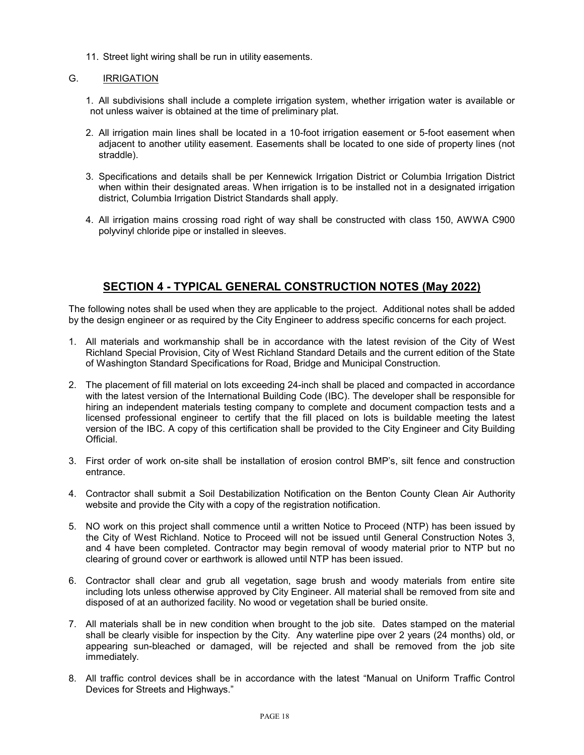11. Street light wiring shall be run in utility easements.

## G. **IRRIGATION**

- 1. All subdivisions shall include a complete irrigation system, whether irrigation water is available or not unless waiver is obtained at the time of preliminary plat.
- 2. All irrigation main lines shall be located in a 10-foot irrigation easement or 5-foot easement when adjacent to another utility easement. Easements shall be located to one side of property lines (not straddle).
- 3. Specifications and details shall be per Kennewick Irrigation District or Columbia Irrigation District when within their designated areas. When irrigation is to be installed not in a designated irrigation district, Columbia Irrigation District Standards shall apply.
- 4. All irrigation mains crossing road right of way shall be constructed with class 150, AWWA C900 polyvinyl chloride pipe or installed in sleeves.

# **SECTION 4 - TYPICAL GENERAL CONSTRUCTION NOTES (May 2022)**

The following notes shall be used when they are applicable to the project. Additional notes shall be added by the design engineer or as required by the City Engineer to address specific concerns for each project.

- 1. All materials and workmanship shall be in accordance with the latest revision of the City of West Richland Special Provision, City of West Richland Standard Details and the current edition of the State of Washington Standard Specifications for Road, Bridge and Municipal Construction.
- 2. The placement of fill material on lots exceeding 24-inch shall be placed and compacted in accordance with the latest version of the International Building Code (IBC). The developer shall be responsible for hiring an independent materials testing company to complete and document compaction tests and a licensed professional engineer to certify that the fill placed on lots is buildable meeting the latest version of the IBC. A copy of this certification shall be provided to the City Engineer and City Building **Official**
- 3. First order of work on-site shall be installation of erosion control BMP's, silt fence and construction entrance.
- 4. Contractor shall submit a Soil Destabilization Notification on the Benton County Clean Air Authority website and provide the City with a copy of the registration notification.
- 5. NO work on this project shall commence until a written Notice to Proceed (NTP) has been issued by the City of West Richland. Notice to Proceed will not be issued until General Construction Notes 3, and 4 have been completed. Contractor may begin removal of woody material prior to NTP but no clearing of ground cover or earthwork is allowed until NTP has been issued.
- 6. Contractor shall clear and grub all vegetation, sage brush and woody materials from entire site including lots unless otherwise approved by City Engineer. All material shall be removed from site and disposed of at an authorized facility. No wood or vegetation shall be buried onsite.
- 7. All materials shall be in new condition when brought to the job site. Dates stamped on the material shall be clearly visible for inspection by the City. Any waterline pipe over 2 years (24 months) old, or appearing sun-bleached or damaged, will be rejected and shall be removed from the job site immediately.
- 8. All traffic control devices shall be in accordance with the latest "Manual on Uniform Traffic Control Devices for Streets and Highways."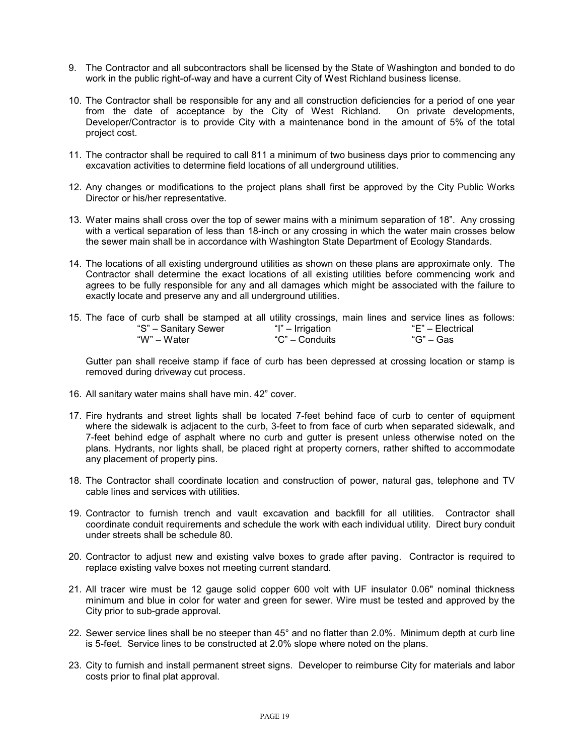- 9. The Contractor and all subcontractors shall be licensed by the State of Washington and bonded to do work in the public right-of-way and have a current City of West Richland business license.
- 10. The Contractor shall be responsible for any and all construction deficiencies for a period of one year from the date of acceptance by the City of West Richland. On private developments, Developer/Contractor is to provide City with a maintenance bond in the amount of 5% of the total project cost.
- 11. The contractor shall be required to call 811 a minimum of two business days prior to commencing any excavation activities to determine field locations of all underground utilities.
- 12. Any changes or modifications to the project plans shall first be approved by the City Public Works Director or his/her representative.
- 13. Water mains shall cross over the top of sewer mains with a minimum separation of 18". Any crossing with a vertical separation of less than 18-inch or any crossing in which the water main crosses below the sewer main shall be in accordance with Washington State Department of Ecology Standards.
- 14. The locations of all existing underground utilities as shown on these plans are approximate only. The Contractor shall determine the exact locations of all existing utilities before commencing work and agrees to be fully responsible for any and all damages which might be associated with the failure to exactly locate and preserve any and all underground utilities.
- 15. The face of curb shall be stamped at all utility crossings, main lines and service lines as follows: "S" – Sanitary Sewer "I" – Irrigation "E" – Electrical "W" – Water "C" – Conduits "G" – Gas

Gutter pan shall receive stamp if face of curb has been depressed at crossing location or stamp is removed during driveway cut process.

- 16. All sanitary water mains shall have min. 42" cover.
- 17. Fire hydrants and street lights shall be located 7-feet behind face of curb to center of equipment where the sidewalk is adjacent to the curb, 3-feet to from face of curb when separated sidewalk, and 7-feet behind edge of asphalt where no curb and gutter is present unless otherwise noted on the plans. Hydrants, nor lights shall, be placed right at property corners, rather shifted to accommodate any placement of property pins.
- 18. The Contractor shall coordinate location and construction of power, natural gas, telephone and TV cable lines and services with utilities.
- 19. Contractor to furnish trench and vault excavation and backfill for all utilities. Contractor shall coordinate conduit requirements and schedule the work with each individual utility. Direct bury conduit under streets shall be schedule 80.
- 20. Contractor to adjust new and existing valve boxes to grade after paving. Contractor is required to replace existing valve boxes not meeting current standard.
- 21. All tracer wire must be 12 gauge solid copper 600 volt with UF insulator 0.06" nominal thickness minimum and blue in color for water and green for sewer. Wire must be tested and approved by the City prior to sub-grade approval.
- 22. Sewer service lines shall be no steeper than 45° and no flatter than 2.0%. Minimum depth at curb line is 5-feet. Service lines to be constructed at 2.0% slope where noted on the plans.
- 23. City to furnish and install permanent street signs. Developer to reimburse City for materials and labor costs prior to final plat approval.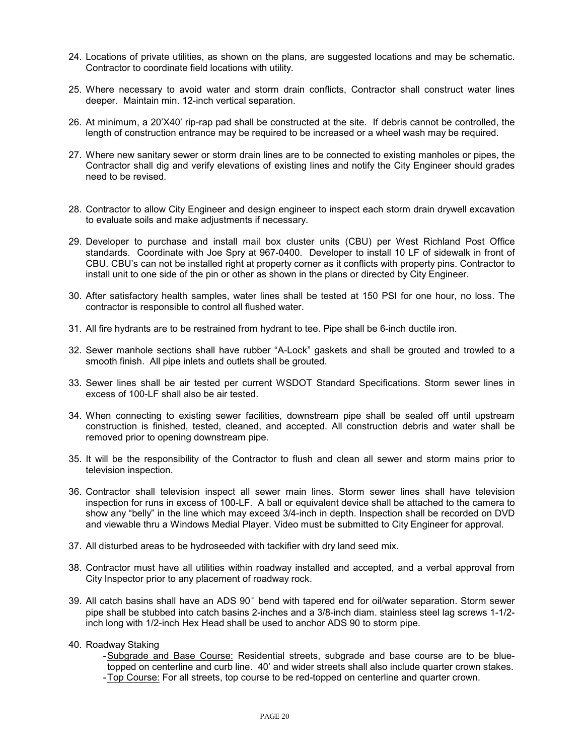- 24. Locations of private utilities, as shown on the plans, are suggested locations and may be schematic. Contractor to coordinate field locations with utility.
- 25. Where necessary to avoid water and storm drain conflicts, Contractor shall construct water lines deeper. Maintain min. 12-inch vertical separation.
- 26. At minimum, a 20'X40' rip-rap pad shall be constructed at the site. If debris cannot be controlled, the length of construction entrance may be required to be increased or a wheel wash may be required.
- 27. Where new sanitary sewer or storm drain lines are to be connected to existing manholes or pipes, the Contractor shall dig and verify elevations of existing lines and notify the City Engineer should grades need to be revised.
- 28. Contractor to allow City Engineer and design engineer to inspect each storm drain drywell excavation to evaluate soils and make adjustments if necessary.
- 29. Developer to purchase and install mail box cluster units (CBU) per West Richland Post Office standards. Coordinate with Joe Spry at 967-0400. Developer to install 10 LF of sidewalk in front of CBU. CBU's can not be installed right at property corner as it conflicts with property pins. Contractor to install unit to one side of the pin or other as shown in the plans or directed by City Engineer.
- 30. After satisfactory health samples, water lines shall be tested at 150 PSI for one hour, no loss. The contractor is responsible to control all flushed water.
- 31. All fire hydrants are to be restrained from hydrant to tee. Pipe shall be 6-inch ductile iron.
- 32. Sewer manhole sections shall have rubber "A-Lock" gaskets and shall be grouted and trowled to a smooth finish. All pipe inlets and outlets shall be grouted.
- 33. Sewer lines shall be air tested per current WSDOT Standard Specifications. Storm sewer lines in excess of 100-LF shall also be air tested.
- 34. When connecting to existing sewer facilities, downstream pipe shall be sealed off until upstream construction is finished, tested, cleaned, and accepted. All construction debris and water shall be removed prior to opening downstream pipe.
- 35. It will be the responsibility of the Contractor to flush and clean all sewer and storm mains prior to television inspection.
- 36. Contractor shall television inspect all sewer main lines. Storm sewer lines shall have television inspection for runs in excess of 100-LF. A ball or equivalent device shall be attached to the camera to show any "belly" in the line which may exceed 3/4-inch in depth. Inspection shall be recorded on DVD and viewable thru a Windows Medial Player. Video must be submitted to City Engineer for approval.
- 37. All disturbed areas to be hydroseeded with tackifier with dry land seed mix.
- 38. Contractor must have all utilities within roadway installed and accepted, and a verbal approval from City Inspector prior to any placement of roadway rock.
- 39. All catch basins shall have an ADS 90° bend with tapered end for oil/water separation. Storm sewer pipe shall be stubbed into catch basins 2-inches and a 3/8-inch diam. stainless steel lag screws 1-1/2 inch long with 1/2-inch Hex Head shall be used to anchor ADS 90 to storm pipe.
- 40. Roadway Staking
	- Subgrade and Base Course: Residential streets, subgrade and base course are to be bluetopped on centerline and curb line. 40' and wider streets shall also include quarter crown stakes. - Top Course: For all streets, top course to be red-topped on centerline and quarter crown.